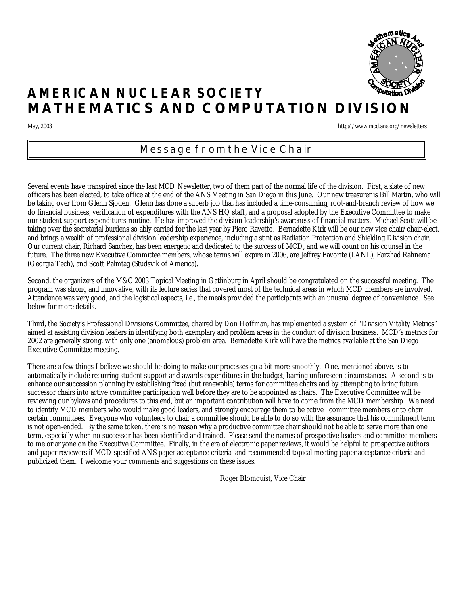

# **AMERICAN NUCLEAR SOCIETY MATHEMATICS AND COMPUTATION DIVISION**

May, 2003 http://www.mcd.ans.org/newsletters

### *Message from the Vice Chair*

Several events have transpired since the last MCD Newsletter, two of them part of the normal life of the division. First, a slate of new officers has been elected, to take office at the end of the ANS Meeting in San Diego in this June. Our new treasurer is Bill Martin, who will be taking over from Glenn Sjoden. Glenn has done a superb job that has included a time-consuming, root-and-branch review of how we do financial business, verification of expenditures with the ANS HQ staff, and a proposal adopted by the Executive Committee to make our student support expenditures routine. He has improved the division leadership's awareness of financial matters. Michael Scott will be taking over the secretarial burdens so ably carried for the last year by Piero Ravetto. Bernadette Kirk will be our new vice chair/chair-elect, and brings a wealth of professional division leadership experience, including a stint as Radiation Protection and Shielding Division chair. Our current chair, Richard Sanchez, has been energetic and dedicated to the success of MCD, and we will count on his counsel in the future. The three new Executive Committee members, whose terms will expire in 2006, are Jeffrey Favorite (LANL), Farzhad Rahnema (Georgia Tech), and Scott Palmtag (Studsvik of America).

Second, the organizers of the M&C 2003 Topical Meeting in Gatlinburg in April should be congratulated on the successful meeting. The program was strong and innovative, with its lecture series that covered most of the technical areas in which MCD members are involved. Attendance was very good, and the logistical aspects, i.e., the meals provided the participants with an unusual degree of convenience. See below for more details.

Third, the Society's Professional Divisions Committee, chaired by Don Hoffman, has implemented a system of "Division Vitality Metrics" aimed at assisting division leaders in identifying both exemplary and problem areas in the conduct of division business. MCD's metrics for 2002 are generally strong, with only one (anomalous) problem area. Bernadette Kirk will have the metrics available at the San Diego Executive Committee meeting.

There are a few things I believe we should be doing to make our processes go a bit more smoothly. One, mentioned above, is to automatically include recurring student support and awards expenditures in the budget, barring unforeseen circumstances. A second is to enhance our succession planning by establishing fixed (but renewable) terms for committee chairs and by attempting to bring future successor chairs into active committee participation well before they are to be appointed as chairs. The Executive Committee will be reviewing our bylaws and procedures to this end, but an important contribution will have to come from the MCD membership. We need to identify MCD members who would make good leaders, and strongly encourage them to be active committee members or to chair certain committees. Everyone who volunteers to chair a committee should be able to do so with the assurance that his commitment term is not open-ended. By the same token, there is no reason why a productive committee chair should not be able to serve more than one term, especially when no successor has been identified and trained. Please send the names of prospective leaders and committee members to me or anyone on the Executive Committee. Finally, in the era of electronic paper reviews, it would be helpful to prospective authors and paper reviewers if MCD specified ANS paper acceptance criteria and recommended topical meeting paper acceptance criteria and publicized them. I welcome your comments and suggestions on these issues.

Roger Blomquist, Vice Chair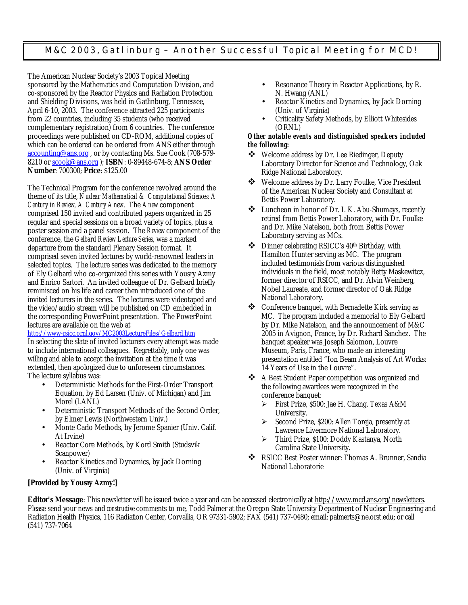### *M&C 2003, Gatlinburg – Another Successful Topical Meeting for MCD!*

The American Nuclear Society's 2003 Topical Meeting sponsored by the Mathematics and Computation Division, and co-sponsored by the Reactor Physics and Radiation Protection and Shielding Divisions, was held in Gatlinburg, Tennessee, April 6-10, 2003. The conference attracted 225 participants from 22 countries, including 35 students (who received complementary registration) from 6 countries. The conference proceedings were published on CD-ROM, additional copies of which can be ordered can be ordered from ANS either through accounting@ans.org , or by contacting Ms. Sue Cook (708-579- 8210 or scook@ans.org ); **ISBN**: 0-89448-674-8; **ANS Order Number**: 700300; **Price**: \$125.00

The Technical Program for the conference revolved around the theme of its title, *Nuclear Mathematical & Computational Sciences: A Century in Review, A Century Anew*. The *Anew* component comprised 150 invited and contributed papers organized in 25 regular and special sessions on a broad variety of topics, plus a poster session and a panel session. The *Review* component of the conference, the *Gelbard Review Lecture Series*, was a marked departure from the standard Plenary Session format. It comprised seven invited lectures by world-renowned leaders in selected topics. The lecture series was dedicated to the memory of Ely Gelbard who co-organized this series with Yousry Azmy and Enrico Sartori. An invited colleague of Dr. Gelbard briefly reminisced on his life and career then introduced one of the invited lecturers in the series. The lectures were videotaped and the video/audio stream will be published on CD embedded in the corresponding PowerPoint presentation. The PowerPoint lectures are available on the web at

http://www-rsicc.ornl.gov/MC2003LectureFiles/Gelbard.htm In selecting the slate of invited lecturers every attempt was made to include international colleagues. Regrettably, only one was willing and able to accept the invitation at the time it was extended, then apologized due to unforeseen circumstances. The lecture syllabus was:

- Deterministic Methods for the First-Order Transport Equation, by Ed Larsen (Univ. of Michigan) and Jim Morel (LANL)
- Deterministic Transport Methods of the Second Order, by Elmer Lewis (Northwestern Univ.)
- Monte Carlo Methods, by Jerome Spanier (Univ. Calif. At Irvine)
- Reactor Core Methods, by Kord Smith (Studsvik Scanpower)
- Reactor Kinetics and Dynamics, by Jack Dorning (Univ. of Virginia)
- Resonance Theory in Reactor Applications, by R. N. Hwang (ANL)
- Reactor Kinetics and Dynamics, by Jack Dorning (Univ. of Virginia)
- Criticality Safety Methods, by Elliott Whitesides (ORNL)

### *Other notable events and distinguished speakers included the following:*

- v Welcome address by Dr. Lee Riedinger, Deputy Laboratory Director for Science and Technology, Oak Ridge National Laboratory.
- ❖ Welcome address by Dr. Larry Foulke, Vice President of the American Nuclear Society and Consultant at Bettis Power Laboratory.
- v Luncheon in honor of Dr. I. K. Abu-Shumays, recently retired from Bettis Power Laboratory, with Dr. Foulke and Dr. Mike Natelson, both from Bettis Power Laboratory serving as MCs.
- v Dinner celebrating RSICC's 40th Birthday, with Hamilton Hunter serving as MC. The program included testimonials from various distinguished individuals in the field, most notably Betty Maskewitcz, former director of RSICC, and Dr. Alvin Weinberg, Nobel Laureate, and former director of Oak Ridge National Laboratory.
- ❖ Conference banquet, with Bernadette Kirk serving as MC. The program included a memorial to Ely Gelbard by Dr. Mike Natelson, and the announcement of M&C 2005 in Avignon, France, by Dr. Richard Sanchez. The banquet speaker was Joseph Salomon, Louvre Museum, Paris, France, who made an interesting presentation entitled "Ion Beam Analysis of Art Works: 14 Years of Use in the Louvre".
- \* A Best Student Paper competition was organized and the following awardees were recognized in the conference banquet:
	- ÿ First Prize, \$500: Jae H. Chang, Texas A&M University.
	- Second Prize, \$200: Allen Toreja, presently at Lawrence Livermore National Laboratory.
	- ÿ Third Prize, \$100: Doddy Kastanya, North Carolina State University.
- ◆ RSICC Best Poster winner: Thomas A. Brunner, Sandia National Laboratorie

### **[Provided by Yousry Azmy!]**

Editor's Message: This new sletter will be issued twice a year and can be accessed electronically at http://www.mcd.ans.org/new sletters. Please send your news and *constructive* comments to me, Todd Palmer at the Oregon State University Department of Nuclear Engineering and Radiation Health Physics, 116 Radiation Center, Corvallis, OR 97331-5902; FAX (541) 737-0480; email: palmerts@ne.orst.edu; or call (541) 737-7064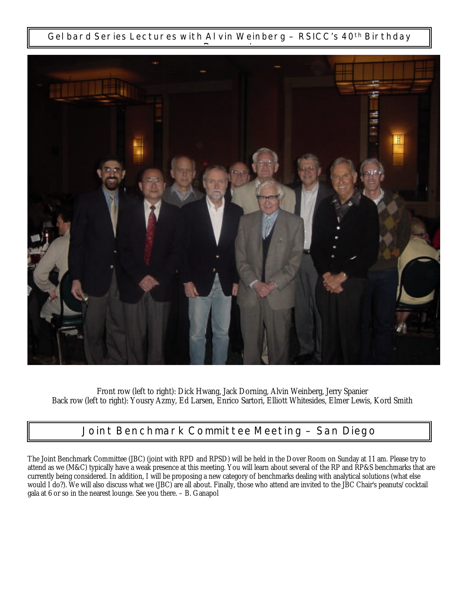*Gelbard Series Lectures with Alvin Weinberg – RSICC's 40th Birthday*



Front row (left to right): Dick Hwang, Jack Dorning, Alvin Weinberg, Jerry Spanier Back row (left to right): Yousry Azmy, Ed Larsen, Enrico Sartori, Elliott Whitesides, Elmer Lewis, Kord Smith

# *Joint Benchmark Committee Meeting – San Diego*

The Joint Benchmark Committee (JBC) (joint with RPD and RPSD) will be held in the Dover Room on Sunday at 11 am. Please try to attend as we (M&C) typically have a weak presence at this meeting. You will learn about several of the RP and RP&S benchmarks that are currently being considered. In addition, I will be proposing a new category of benchmarks dealing with analytical solutions (what else would I do?). We will also discuss what we (JBC) are all about. Finally, those who attend are invited to the JBC Chair's peanuts/cocktail gala at 6 or so in the nearest lounge. See you there. – B. Ganapol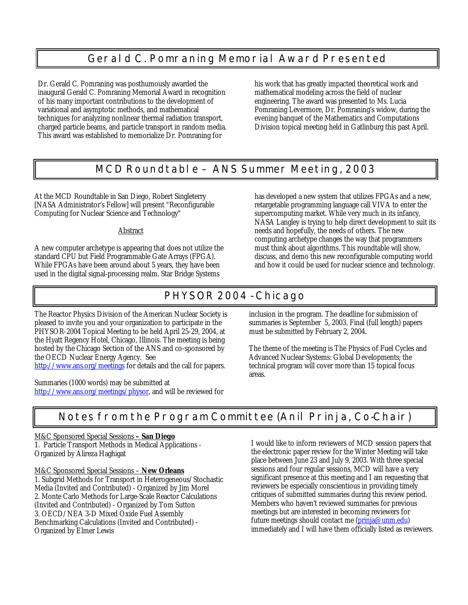# *Gerald C. Pomraning Memorial Award Presented*

Dr. Gerald C. Pomraning was posthumously awarded the inaugural Gerald C. Pomraning Memorial Award in recognition of his many important contributions to the development of variational and asymptotic methods, and mathematical techniques for analyzing nonlinear thermal radiation transport, charged particle beams, and particle transport in random media. This award was established to memorialize Dr. Pomraning for

his work that has greatly impacted theoretical work and mathematical modeling across the field of nuclear engineering. The award was presented to Ms. Lucia Pomraning Levermore, Dr. Pomraning's widow, during the evening banquet of the Mathematics and Computations Division topical meeting held in Gatlinburg this past April.

## *MCD Roundtable – ANS Summer Meeting, 2003*

At the MCD Roundtable in San Diego, Robert Singleterry [NASA Administrator's Fellow] will present "Reconfigurable Computing for Nuclear Science and Technology"

### Abstract

A new computer archetype is appearing that does not utilize the standard CPU but Field Programmable Gate Arrays (FPGA). While FPGAs have been around about 5 years, they have been used in the digital signal-processing realm. Star Bridge Systems

has developed a new system that utilizes FPGAs and a new, retargetable programming language call VIVA to enter the supercomputing market. While very much in its infancy, NASA Langley is trying to help direct development to suit its needs and hopefully, the needs of others. The new computing archetype changes the way that programmers must think about algorithms. This roundtable will show, discuss, and demo this new reconfigurable computing world and how it could be used for nuclear science and technology.

# *PHYSOR 2004 - Chicago*

The Reactor Physics Division of the American Nuclear Society is pleased to invite you and your organization to participate in the PHYSOR-2004 Topical Meeting to be held April 25-29, 2004, at the Hyatt Regency Hotel, Chicago, Illinois. The meeting is being hosted by the Chicago Section of the ANS and co-sponsored by the OECD Nuclear Energy Agency. See http://www.ans.org/meetings for details and the call for papers.

Summaries (1000 words) may be submitted at http://www.ans.org/meetings/physor, and will be reviewed for inclusion in the program. The deadline for submission of summaries is September 5, 2003. Final (full length) papers must be submitted by February 2, 2004.

The theme of the meeting is The Physics of Fuel Cycles and Advanced Nuclear Systems: Global Developments; the technical program will cover more than 15 topical focus areas.

# *Notes from the Program Committee (Anil Prinja, Co-Chair)*

### M&C Sponsored Special Sessions **– San Diego**

1. Particle Transport Methods in Medical Applications - Organized by Alireza Haghigat

### M&C Sponsored Special Sessions – **New Orleans**

1. Subgrid Methods for Transport in Heterogeneous/Stochastic Media (Invited and Contributed) - Organized by Jim Morel 2. Monte Carlo Methods for Large-Scale Reactor Calculations (Invited and Contributed) - Organized by Tom Sutton 3. OECD/NEA 3-D Mixed Oxide Fuel Assembly Benchmarking Calculations (Invited and Contributed) - Organized by Elmer Lewis

I would like to inform reviewers of MCD session papers that the electronic paper review for the Winter Meeting will take place between June 23 and July 9, 2003. With three special sessions and four regular sessions, MCD will have a very significant presence at this meeting and I am requesting that reviewers be especially conscientious in providing timely critiques of submitted summaries during this review period. Members who haven't reviewed summaries for previous meetings but are interested in becoming reviewers for future meetings should contact me (prinja@unm.edu) immediately and I will have them officially listed as reviewers.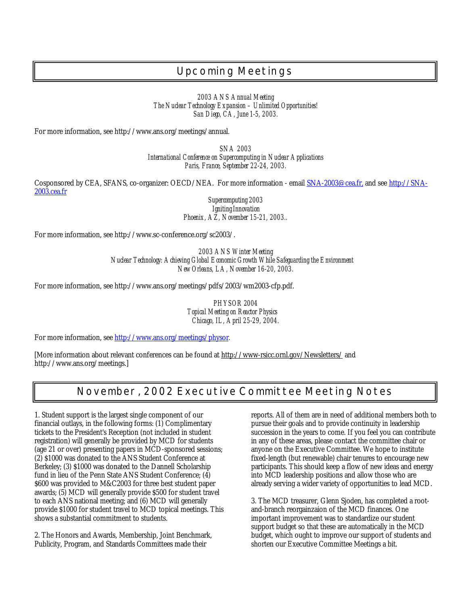# *Upcoming Meetings*

*2003 ANS Annual Meeting The Nuclear Technology Expansion – Unlimited Opportunities! San Diego, CA, June 1-5, 2003.* 

For more information, see http://www.ans.org/meetings/annual.

*SNA 2003 International Conference on Supercomputing in Nuclear Applications Paris, France, September 22-24, 2003.*

Cosponsored by CEA, SFANS, co-organizer: OECD/NEA. For more information - email SNA-2003@cea.fr, and see http://SNA-2003.cea.fr

> Supercomputing 2003 *Igniting Innovation Phoenix, AZ, November 15-21, 2003..*

For more information, see http://www.sc-conference.org/sc2003/.

*2003 ANS Winter Meeting Nuclear Technology: Achieving Global Economic Growth While Safeguarding the Environment New Orleans, LA, November 16-20, 2003.*

For more information, see http://www.ans.org/meetings/pdfs/2003/wm2003-cfp.pdf.

**PHYSOR 2004** *Topical Meeting on Reactor Physics Chicago, IL, April 25-29, 2004.*

For more information, see http://www.ans.org/meetings/physor*.*

[More information about relevant conferences can be found at http://www-rsicc.ornl.gov/Newsletters/ and http://www.ans.org/meetings.]

## *November, 2002 Executive Committee Meeting Notes*

1. Student support is the largest single component of our financial outlays, in the following forms: (1) Complimentary tickets to the President's Reception (not included in student registration) will generally be provided by MCD for students (age 21 or over) presenting papers in MCD-sponsored sessions; (2) \$1000 was donated to the ANS Student Conference at Berkeley; (3) \$1000 was donated to the Dannell Scholarship fund in lieu of the Penn State ANS Student Conference; (4) \$600 was provided to M&C2003 for three best student paper awards; (5) MCD will generally provide \$500 for student travel to each ANS national meeting; and (6) MCD will generally provide \$1000 for student travel to MCD topical meetings. This shows a substantial commitment to students.

2. The Honors and Awards, Membership, Joint Benchmark, Publicity, Program, and Standards Committees made their

reports. All of them are in need of additional members both to pursue their goals and to provide continuity in leadership succession in the years to come. If you feel you can contribute in any of these areas, please contact the committee chair or anyone on the Executive Committee. We hope to institute fixed-length (but renewable) chair tenures to encourage new participants. This should keep a flow of new ideas and energy into MCD leadership positions and allow those who are already serving a wider variety of opportunities to lead MCD.

3. The MCD treasurer, Glenn Sjoden, has completed a rootand-branch reorgainzaion of the MCD finances. One important improvement was to standardize our student support budget so that these are automatically in the MCD budget, which ought to improve our support of students and shorten our Executive Committee Meetings a bit.